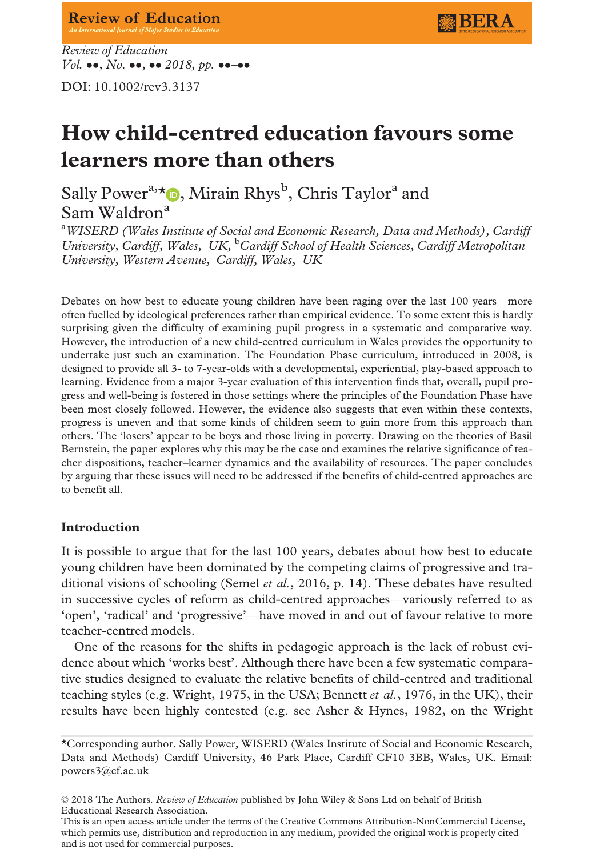Review of Education Vol.  $\bullet\bullet$ , No.  $\bullet\bullet$ ,  $\bullet\bullet$  2018, pp.  $\bullet\bullet-\bullet\bullet$ DOI: 10.1002/rev3.3137

# How child-centred education favours some learners more than others

Sally Power<sup>a, [\\*](http://orcid.org/0000-0003-3287-0003)</sup> , Mirain Rhys<sup>b</sup>, Chris Taylor<sup>a</sup> and S[a](http://orcid.org/0000-0003-3287-0003)m Waldron<sup>a</sup>

<sup>a</sup> WISERD (Wales Institute of Social and Economic Research, Data and Methods), Cardiff University, Cardiff, Wales, UK, <sup>b</sup>Cardiff School of Health Sciences, Cardiff Metropolitan University, Western Avenue, Cardiff, Wales, UK

Debates on how best to educate young children have been raging over the last 100 years—more often fuelled by ideological preferences rather than empirical evidence. To some extent this is hardly surprising given the difficulty of examining pupil progress in a systematic and comparative way. However, the introduction of a new child-centred curriculum in Wales provides the opportunity to undertake just such an examination. The Foundation Phase curriculum, introduced in 2008, is designed to provide all 3- to 7-year-olds with a developmental, experiential, play-based approach to learning. Evidence from a major 3-year evaluation of this intervention finds that, overall, pupil progress and well-being is fostered in those settings where the principles of the Foundation Phase have been most closely followed. However, the evidence also suggests that even within these contexts, progress is uneven and that some kinds of children seem to gain more from this approach than others. The 'losers' appear to be boys and those living in poverty. Drawing on the theories of Basil Bernstein, the paper explores why this may be the case and examines the relative significance of teacher dispositions, teacher–learner dynamics and the availability of resources. The paper concludes by arguing that these issues will need to be addressed if the benefits of child-centred approaches are to benefit all.

## Introduction

It is possible to argue that for the last 100 years, debates about how best to educate young children have been dominated by the competing claims of progressive and traditional visions of schooling (Semel et al., 2016, p. 14). These debates have resulted in successive cycles of reform as child-centred approaches—variously referred to as 'open', 'radical' and 'progressive'—have moved in and out of favour relative to more teacher-centred models.

One of the reasons for the shifts in pedagogic approach is the lack of robust evidence about which 'works best'. Although there have been a few systematic comparative studies designed to evaluate the relative benefits of child-centred and traditional teaching styles (e.g. Wright, 1975, in the USA; Bennett et al., 1976, in the UK), their results have been highly contested (e.g. see Asher & Hynes, 1982, on the Wright

<sup>\*</sup>Corresponding author. Sally Power, WISERD (Wales Institute of Social and Economic Research, Data and Methods) Cardiff University, 46 Park Place, Cardiff CF10 3BB, Wales, UK. Email: [powers3@cf.ac.uk](mailto:)

<sup>© 2018</sup> The Authors. Review of Education published by John Wiley & Sons Ltd on behalf of British Educational Research Association.

This is an open access article under the terms of the [Creative Commons Attribution-NonCommercial](http://creativecommons.org/licenses/by-nc/4.0/) License, which permits use, distribution and reproduction in any medium, provided the original work is properly cited and is not used for commercial purposes.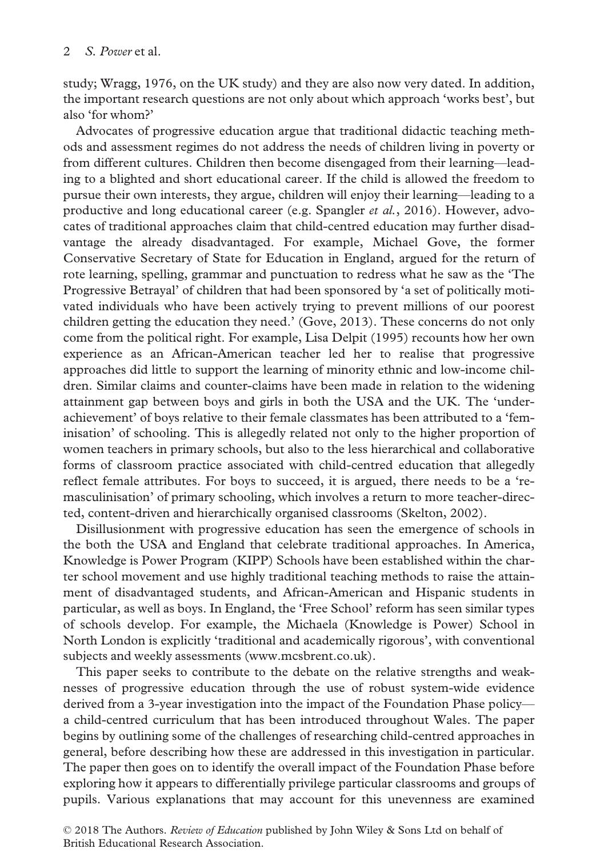study; Wragg, 1976, on the UK study) and they are also now very dated. In addition, the important research questions are not only about which approach 'works best', but also 'for whom?'

Advocates of progressive education argue that traditional didactic teaching methods and assessment regimes do not address the needs of children living in poverty or from different cultures. Children then become disengaged from their learning—leading to a blighted and short educational career. If the child is allowed the freedom to pursue their own interests, they argue, children will enjoy their learning—leading to a productive and long educational career (e.g. Spangler et al., 2016). However, advocates of traditional approaches claim that child-centred education may further disadvantage the already disadvantaged. For example, Michael Gove, the former Conservative Secretary of State for Education in England, argued for the return of rote learning, spelling, grammar and punctuation to redress what he saw as the 'The Progressive Betrayal' of children that had been sponsored by 'a set of politically motivated individuals who have been actively trying to prevent millions of our poorest children getting the education they need.' (Gove, 2013). These concerns do not only come from the political right. For example, Lisa Delpit (1995) recounts how her own experience as an African-American teacher led her to realise that progressive approaches did little to support the learning of minority ethnic and low-income children. Similar claims and counter-claims have been made in relation to the widening attainment gap between boys and girls in both the USA and the UK. The 'underachievement' of boys relative to their female classmates has been attributed to a 'feminisation' of schooling. This is allegedly related not only to the higher proportion of women teachers in primary schools, but also to the less hierarchical and collaborative forms of classroom practice associated with child-centred education that allegedly reflect female attributes. For boys to succeed, it is argued, there needs to be a 'remasculinisation' of primary schooling, which involves a return to more teacher-directed, content-driven and hierarchically organised classrooms (Skelton, 2002).

Disillusionment with progressive education has seen the emergence of schools in the both the USA and England that celebrate traditional approaches. In America, Knowledge is Power Program (KIPP) Schools have been established within the charter school movement and use highly traditional teaching methods to raise the attainment of disadvantaged students, and African-American and Hispanic students in particular, as well as boys. In England, the 'Free School' reform has seen similar types of schools develop. For example, the Michaela (Knowledge is Power) School in North London is explicitly 'traditional and academically rigorous', with conventional subjects and weekly assessments ([www.mcsbrent.co.uk\)](http://www.mcsbrent.co.uk).

This paper seeks to contribute to the debate on the relative strengths and weaknesses of progressive education through the use of robust system-wide evidence derived from a 3-year investigation into the impact of the Foundation Phase policy a child-centred curriculum that has been introduced throughout Wales. The paper begins by outlining some of the challenges of researching child-centred approaches in general, before describing how these are addressed in this investigation in particular. The paper then goes on to identify the overall impact of the Foundation Phase before exploring how it appears to differentially privilege particular classrooms and groups of pupils. Various explanations that may account for this unevenness are examined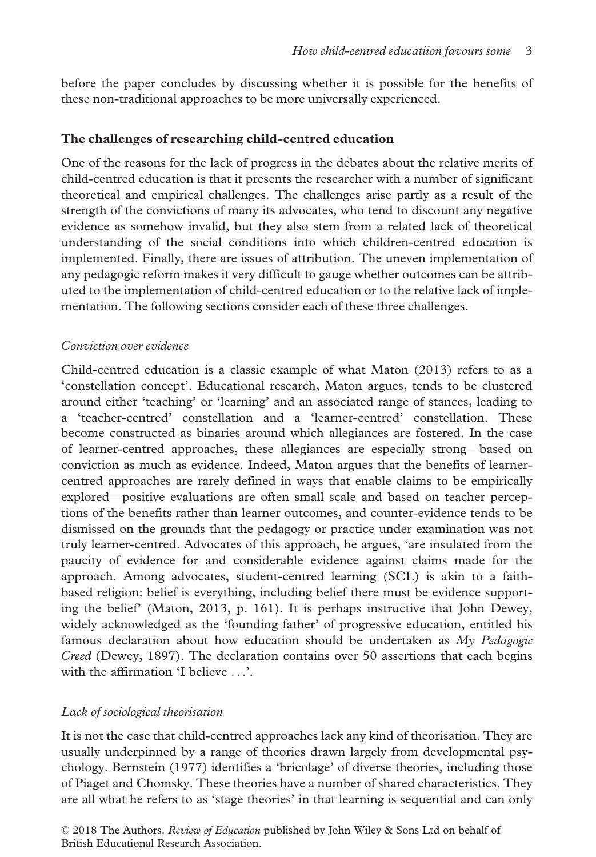before the paper concludes by discussing whether it is possible for the benefits of these non-traditional approaches to be more universally experienced.

#### The challenges of researching child-centred education

One of the reasons for the lack of progress in the debates about the relative merits of child-centred education is that it presents the researcher with a number of significant theoretical and empirical challenges. The challenges arise partly as a result of the strength of the convictions of many its advocates, who tend to discount any negative evidence as somehow invalid, but they also stem from a related lack of theoretical understanding of the social conditions into which children-centred education is implemented. Finally, there are issues of attribution. The uneven implementation of any pedagogic reform makes it very difficult to gauge whether outcomes can be attributed to the implementation of child-centred education or to the relative lack of implementation. The following sections consider each of these three challenges.

### Conviction over evidence

Child-centred education is a classic example of what Maton (2013) refers to as a 'constellation concept'. Educational research, Maton argues, tends to be clustered around either 'teaching' or 'learning' and an associated range of stances, leading to a 'teacher-centred' constellation and a 'learner-centred' constellation. These become constructed as binaries around which allegiances are fostered. In the case of learner-centred approaches, these allegiances are especially strong—based on conviction as much as evidence. Indeed, Maton argues that the benefits of learnercentred approaches are rarely defined in ways that enable claims to be empirically explored—positive evaluations are often small scale and based on teacher perceptions of the benefits rather than learner outcomes, and counter-evidence tends to be dismissed on the grounds that the pedagogy or practice under examination was not truly learner-centred. Advocates of this approach, he argues, 'are insulated from the paucity of evidence for and considerable evidence against claims made for the approach. Among advocates, student-centred learning (SCL) is akin to a faithbased religion: belief is everything, including belief there must be evidence supporting the belief' (Maton, 2013, p. 161). It is perhaps instructive that John Dewey, widely acknowledged as the 'founding father' of progressive education, entitled his famous declaration about how education should be undertaken as My Pedagogic Creed (Dewey, 1897). The declaration contains over 50 assertions that each begins with the affirmation 'I believe ...'.

## Lack of sociological theorisation

It is not the case that child-centred approaches lack any kind of theorisation. They are usually underpinned by a range of theories drawn largely from developmental psychology. Bernstein (1977) identifies a 'bricolage' of diverse theories, including those of Piaget and Chomsky. These theories have a number of shared characteristics. They are all what he refers to as 'stage theories' in that learning is sequential and can only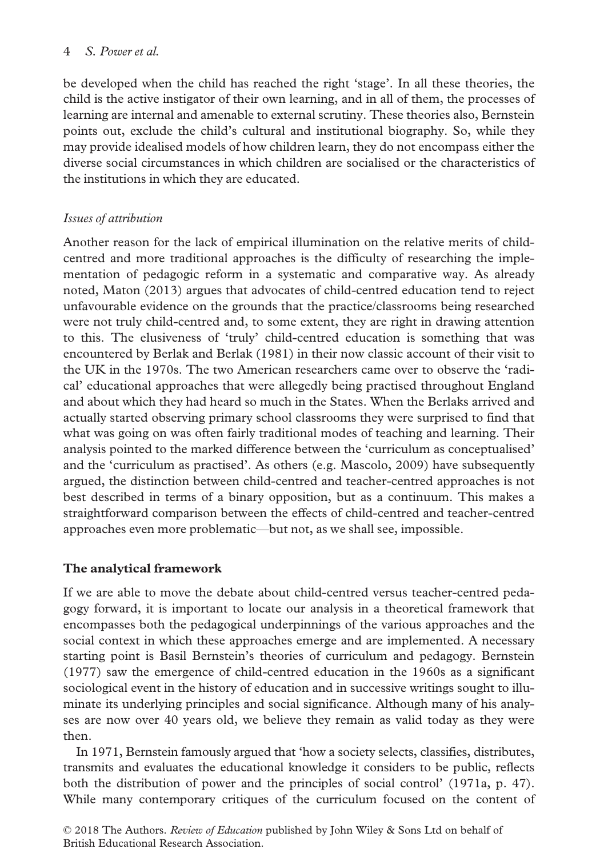#### 4 S. Power et al.

be developed when the child has reached the right 'stage'. In all these theories, the child is the active instigator of their own learning, and in all of them, the processes of learning are internal and amenable to external scrutiny. These theories also, Bernstein points out, exclude the child's cultural and institutional biography. So, while they may provide idealised models of how children learn, they do not encompass either the diverse social circumstances in which children are socialised or the characteristics of the institutions in which they are educated.

## Issues of attribution

Another reason for the lack of empirical illumination on the relative merits of childcentred and more traditional approaches is the difficulty of researching the implementation of pedagogic reform in a systematic and comparative way. As already noted, Maton (2013) argues that advocates of child-centred education tend to reject unfavourable evidence on the grounds that the practice/classrooms being researched were not truly child-centred and, to some extent, they are right in drawing attention to this. The elusiveness of 'truly' child-centred education is something that was encountered by Berlak and Berlak (1981) in their now classic account of their visit to the UK in the 1970s. The two American researchers came over to observe the 'radical' educational approaches that were allegedly being practised throughout England and about which they had heard so much in the States. When the Berlaks arrived and actually started observing primary school classrooms they were surprised to find that what was going on was often fairly traditional modes of teaching and learning. Their analysis pointed to the marked difference between the 'curriculum as conceptualised' and the 'curriculum as practised'. As others (e.g. Mascolo, 2009) have subsequently argued, the distinction between child-centred and teacher-centred approaches is not best described in terms of a binary opposition, but as a continuum. This makes a straightforward comparison between the effects of child-centred and teacher-centred approaches even more problematic—but not, as we shall see, impossible.

## The analytical framework

If we are able to move the debate about child-centred versus teacher-centred pedagogy forward, it is important to locate our analysis in a theoretical framework that encompasses both the pedagogical underpinnings of the various approaches and the social context in which these approaches emerge and are implemented. A necessary starting point is Basil Bernstein's theories of curriculum and pedagogy. Bernstein (1977) saw the emergence of child-centred education in the 1960s as a significant sociological event in the history of education and in successive writings sought to illuminate its underlying principles and social significance. Although many of his analyses are now over 40 years old, we believe they remain as valid today as they were then.

In 1971, Bernstein famously argued that 'how a society selects, classifies, distributes, transmits and evaluates the educational knowledge it considers to be public, reflects both the distribution of power and the principles of social control' (1971a, p. 47). While many contemporary critiques of the curriculum focused on the content of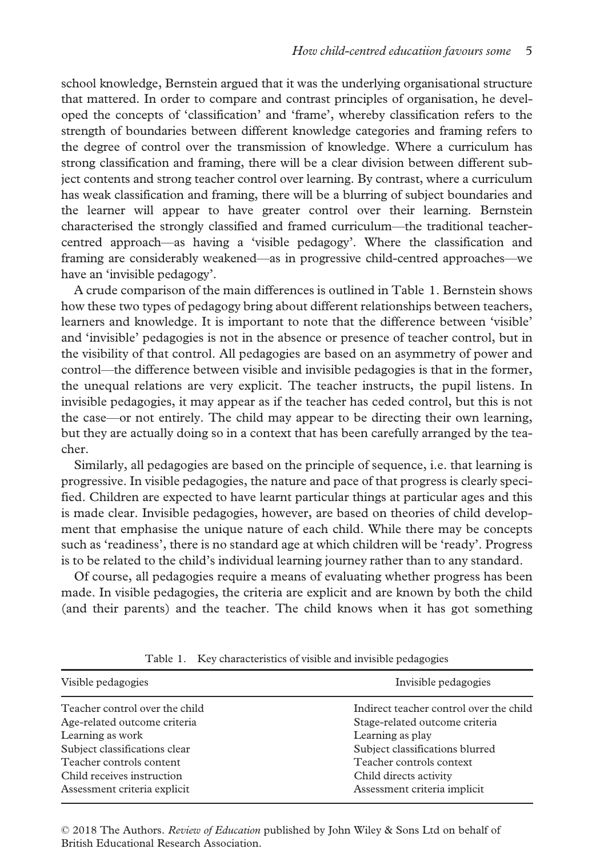school knowledge, Bernstein argued that it was the underlying organisational structure that mattered. In order to compare and contrast principles of organisation, he developed the concepts of 'classification' and 'frame', whereby classification refers to the strength of boundaries between different knowledge categories and framing refers to the degree of control over the transmission of knowledge. Where a curriculum has strong classification and framing, there will be a clear division between different subject contents and strong teacher control over learning. By contrast, where a curriculum has weak classification and framing, there will be a blurring of subject boundaries and the learner will appear to have greater control over their learning. Bernstein characterised the strongly classified and framed curriculum—the traditional teachercentred approach—as having a 'visible pedagogy'. Where the classification and framing are considerably weakened—as in progressive child-centred approaches—we have an 'invisible pedagogy'.

A crude comparison of the main differences is outlined in Table 1. Bernstein shows how these two types of pedagogy bring about different relationships between teachers, learners and knowledge. It is important to note that the difference between 'visible' and 'invisible' pedagogies is not in the absence or presence of teacher control, but in the visibility of that control. All pedagogies are based on an asymmetry of power and control—the difference between visible and invisible pedagogies is that in the former, the unequal relations are very explicit. The teacher instructs, the pupil listens. In invisible pedagogies, it may appear as if the teacher has ceded control, but this is not the case—or not entirely. The child may appear to be directing their own learning, but they are actually doing so in a context that has been carefully arranged by the teacher.

Similarly, all pedagogies are based on the principle of sequence, i.e. that learning is progressive. In visible pedagogies, the nature and pace of that progress is clearly specified. Children are expected to have learnt particular things at particular ages and this is made clear. Invisible pedagogies, however, are based on theories of child development that emphasise the unique nature of each child. While there may be concepts such as 'readiness', there is no standard age at which children will be 'ready'. Progress is to be related to the child's individual learning journey rather than to any standard.

Of course, all pedagogies require a means of evaluating whether progress has been made. In visible pedagogies, the criteria are explicit and are known by both the child (and their parents) and the teacher. The child knows when it has got something

| Visible pedagogies             | Invisible pedagogies                    |  |  |
|--------------------------------|-----------------------------------------|--|--|
| Teacher control over the child | Indirect teacher control over the child |  |  |
| Age-related outcome criteria   | Stage-related outcome criteria          |  |  |
| Learning as work               | Learning as play                        |  |  |
| Subject classifications clear  | Subject classifications blurred         |  |  |
| Teacher controls content       | Teacher controls context                |  |  |
| Child receives instruction     | Child directs activity                  |  |  |
| Assessment criteria explicit   | Assessment criteria implicit            |  |  |

Table 1. Key characteristics of visible and invisible pedagogies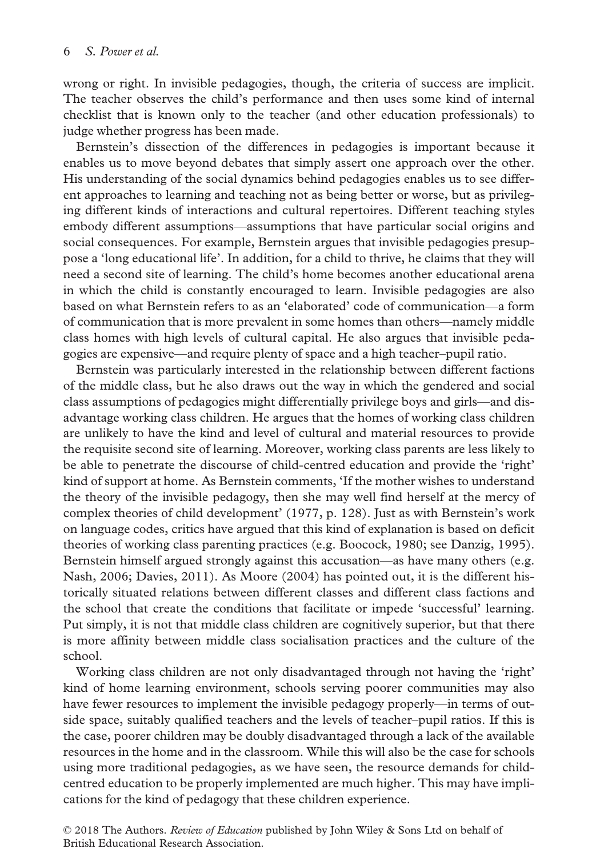wrong or right. In invisible pedagogies, though, the criteria of success are implicit. The teacher observes the child's performance and then uses some kind of internal checklist that is known only to the teacher (and other education professionals) to judge whether progress has been made.

Bernstein's dissection of the differences in pedagogies is important because it enables us to move beyond debates that simply assert one approach over the other. His understanding of the social dynamics behind pedagogies enables us to see different approaches to learning and teaching not as being better or worse, but as privileging different kinds of interactions and cultural repertoires. Different teaching styles embody different assumptions—assumptions that have particular social origins and social consequences. For example, Bernstein argues that invisible pedagogies presuppose a 'long educational life'. In addition, for a child to thrive, he claims that they will need a second site of learning. The child's home becomes another educational arena in which the child is constantly encouraged to learn. Invisible pedagogies are also based on what Bernstein refers to as an 'elaborated' code of communication—a form of communication that is more prevalent in some homes than others—namely middle class homes with high levels of cultural capital. He also argues that invisible pedagogies are expensive—and require plenty of space and a high teacher–pupil ratio.

Bernstein was particularly interested in the relationship between different factions of the middle class, but he also draws out the way in which the gendered and social class assumptions of pedagogies might differentially privilege boys and girls—and disadvantage working class children. He argues that the homes of working class children are unlikely to have the kind and level of cultural and material resources to provide the requisite second site of learning. Moreover, working class parents are less likely to be able to penetrate the discourse of child-centred education and provide the 'right' kind of support at home. As Bernstein comments, 'If the mother wishes to understand the theory of the invisible pedagogy, then she may well find herself at the mercy of complex theories of child development' (1977, p. 128). Just as with Bernstein's work on language codes, critics have argued that this kind of explanation is based on deficit theories of working class parenting practices (e.g. Boocock, 1980; see Danzig, 1995). Bernstein himself argued strongly against this accusation—as have many others (e.g. Nash, 2006; Davies, 2011). As Moore (2004) has pointed out, it is the different historically situated relations between different classes and different class factions and the school that create the conditions that facilitate or impede 'successful' learning. Put simply, it is not that middle class children are cognitively superior, but that there is more affinity between middle class socialisation practices and the culture of the school.

Working class children are not only disadvantaged through not having the 'right' kind of home learning environment, schools serving poorer communities may also have fewer resources to implement the invisible pedagogy properly—in terms of outside space, suitably qualified teachers and the levels of teacher–pupil ratios. If this is the case, poorer children may be doubly disadvantaged through a lack of the available resources in the home and in the classroom. While this will also be the case for schools using more traditional pedagogies, as we have seen, the resource demands for childcentred education to be properly implemented are much higher. This may have implications for the kind of pedagogy that these children experience.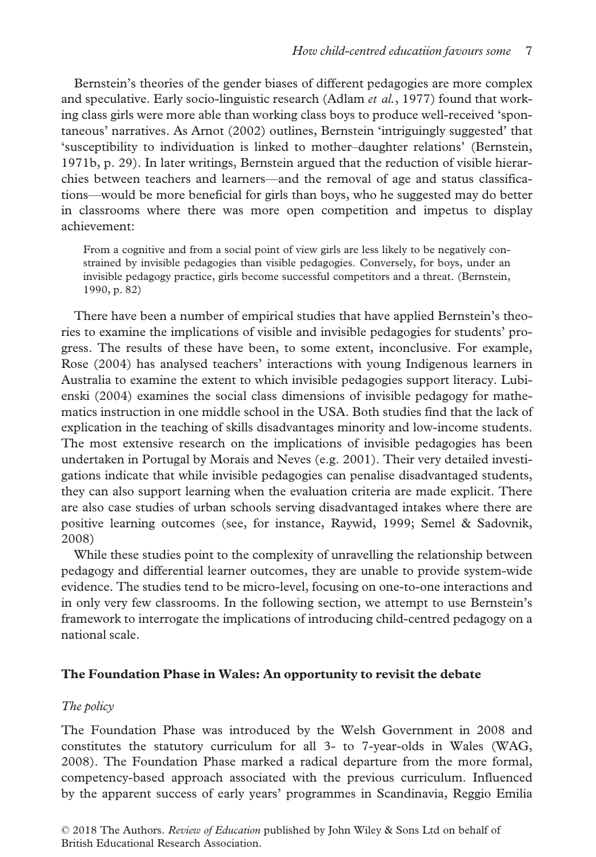Bernstein's theories of the gender biases of different pedagogies are more complex and speculative. Early socio-linguistic research (Adlam  $et al., 1977$ ) found that working class girls were more able than working class boys to produce well-received 'spontaneous' narratives. As Arnot (2002) outlines, Bernstein 'intriguingly suggested' that 'susceptibility to individuation is linked to mother–daughter relations' (Bernstein, 1971b, p. 29). In later writings, Bernstein argued that the reduction of visible hierarchies between teachers and learners—and the removal of age and status classifications—would be more beneficial for girls than boys, who he suggested may do better in classrooms where there was more open competition and impetus to display achievement:

From a cognitive and from a social point of view girls are less likely to be negatively constrained by invisible pedagogies than visible pedagogies. Conversely, for boys, under an invisible pedagogy practice, girls become successful competitors and a threat. (Bernstein, 1990, p. 82)

There have been a number of empirical studies that have applied Bernstein's theories to examine the implications of visible and invisible pedagogies for students' progress. The results of these have been, to some extent, inconclusive. For example, Rose (2004) has analysed teachers' interactions with young Indigenous learners in Australia to examine the extent to which invisible pedagogies support literacy. Lubienski (2004) examines the social class dimensions of invisible pedagogy for mathematics instruction in one middle school in the USA. Both studies find that the lack of explication in the teaching of skills disadvantages minority and low-income students. The most extensive research on the implications of invisible pedagogies has been undertaken in Portugal by Morais and Neves (e.g. 2001). Their very detailed investigations indicate that while invisible pedagogies can penalise disadvantaged students, they can also support learning when the evaluation criteria are made explicit. There are also case studies of urban schools serving disadvantaged intakes where there are positive learning outcomes (see, for instance, Raywid, 1999; Semel & Sadovnik, 2008)

While these studies point to the complexity of unravelling the relationship between pedagogy and differential learner outcomes, they are unable to provide system-wide evidence. The studies tend to be micro-level, focusing on one-to-one interactions and in only very few classrooms. In the following section, we attempt to use Bernstein's framework to interrogate the implications of introducing child-centred pedagogy on a national scale.

#### The Foundation Phase in Wales: An opportunity to revisit the debate

#### The policy

The Foundation Phase was introduced by the Welsh Government in 2008 and constitutes the statutory curriculum for all 3- to 7-year-olds in Wales (WAG, 2008). The Foundation Phase marked a radical departure from the more formal, competency-based approach associated with the previous curriculum. Influenced by the apparent success of early years' programmes in Scandinavia, Reggio Emilia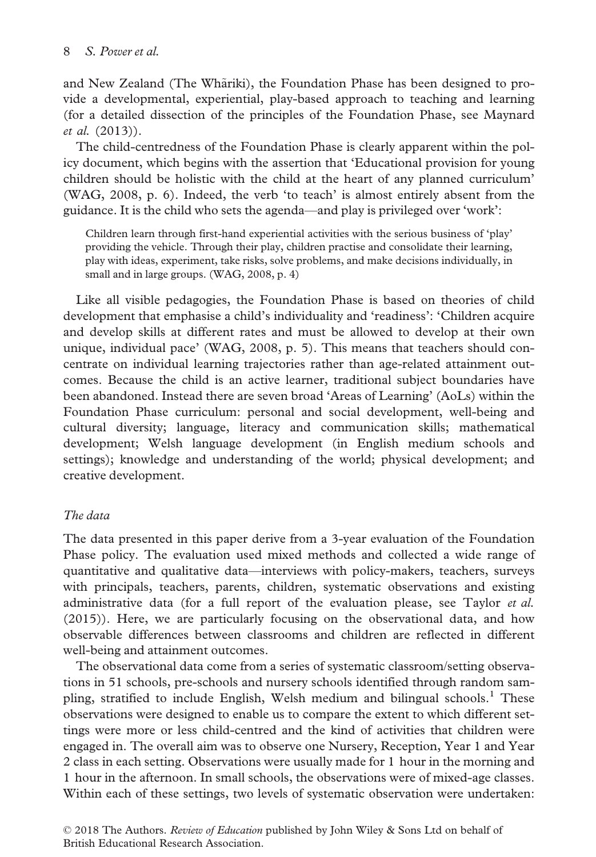and New Zealand (The Whariki), the Foundation Phase has been designed to provide a developmental, experiential, play-based approach to teaching and learning (for a detailed dissection of the principles of the Foundation Phase, see Maynard et al. (2013)).

The child-centredness of the Foundation Phase is clearly apparent within the policy document, which begins with the assertion that 'Educational provision for young children should be holistic with the child at the heart of any planned curriculum' (WAG, 2008, p. 6). Indeed, the verb 'to teach' is almost entirely absent from the guidance. It is the child who sets the agenda—and play is privileged over 'work':

Children learn through first-hand experiential activities with the serious business of 'play' providing the vehicle. Through their play, children practise and consolidate their learning, play with ideas, experiment, take risks, solve problems, and make decisions individually, in small and in large groups. (WAG, 2008, p. 4)

Like all visible pedagogies, the Foundation Phase is based on theories of child development that emphasise a child's individuality and 'readiness': 'Children acquire and develop skills at different rates and must be allowed to develop at their own unique, individual pace' (WAG, 2008, p. 5). This means that teachers should concentrate on individual learning trajectories rather than age-related attainment outcomes. Because the child is an active learner, traditional subject boundaries have been abandoned. Instead there are seven broad 'Areas of Learning' (AoLs) within the Foundation Phase curriculum: personal and social development, well-being and cultural diversity; language, literacy and communication skills; mathematical development; Welsh language development (in English medium schools and settings); knowledge and understanding of the world; physical development; and creative development.

## The data

The data presented in this paper derive from a 3-year evaluation of the Foundation Phase policy. The evaluation used mixed methods and collected a wide range of quantitative and qualitative data—interviews with policy-makers, teachers, surveys with principals, teachers, parents, children, systematic observations and existing administrative data (for a full report of the evaluation please, see Taylor  $et$  al. (2015)). Here, we are particularly focusing on the observational data, and how observable differences between classrooms and children are reflected in different well-being and attainment outcomes.

The observational data come from a series of systematic classroom/setting observations in 51 schools, pre-schools and nursery schools identified through random sampling, stratified to include English, Welsh medium and bilingual schools.<sup>1</sup> These observations were designed to enable us to compare the extent to which different settings were more or less child-centred and the kind of activities that children were engaged in. The overall aim was to observe one Nursery, Reception, Year 1 and Year 2 class in each setting. Observations were usually made for 1 hour in the morning and 1 hour in the afternoon. In small schools, the observations were of mixed-age classes. Within each of these settings, two levels of systematic observation were undertaken: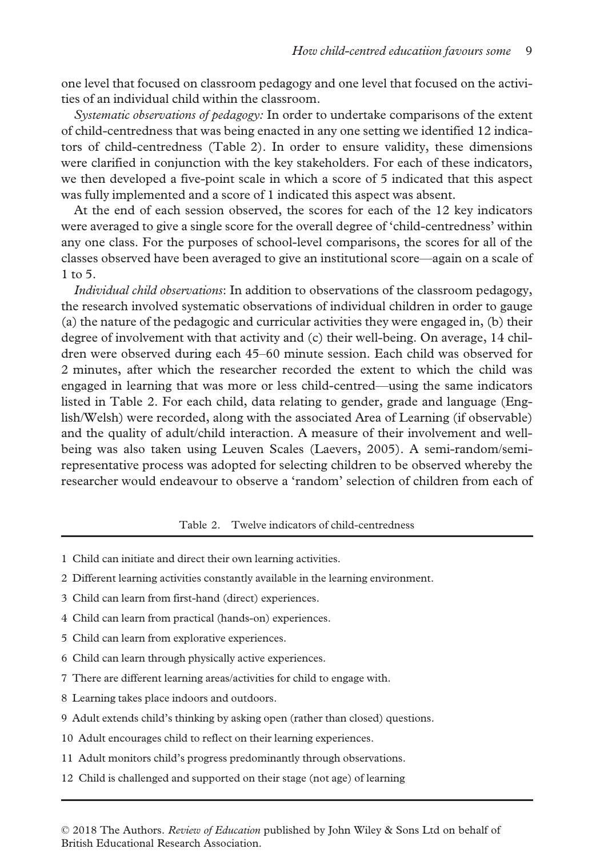one level that focused on classroom pedagogy and one level that focused on the activities of an individual child within the classroom.

Systematic observations of pedagogy: In order to undertake comparisons of the extent of child-centredness that was being enacted in any one setting we identified 12 indicators of child-centredness (Table 2). In order to ensure validity, these dimensions were clarified in conjunction with the key stakeholders. For each of these indicators, we then developed a five-point scale in which a score of 5 indicated that this aspect was fully implemented and a score of 1 indicated this aspect was absent.

At the end of each session observed, the scores for each of the 12 key indicators were averaged to give a single score for the overall degree of 'child-centredness' within any one class. For the purposes of school-level comparisons, the scores for all of the classes observed have been averaged to give an institutional score—again on a scale of 1 to 5.

Individual child observations: In addition to observations of the classroom pedagogy, the research involved systematic observations of individual children in order to gauge (a) the nature of the pedagogic and curricular activities they were engaged in, (b) their degree of involvement with that activity and (c) their well-being. On average, 14 children were observed during each 45–60 minute session. Each child was observed for 2 minutes, after which the researcher recorded the extent to which the child was engaged in learning that was more or less child-centred—using the same indicators listed in Table 2. For each child, data relating to gender, grade and language (English/Welsh) were recorded, along with the associated Area of Learning (if observable) and the quality of adult/child interaction. A measure of their involvement and wellbeing was also taken using Leuven Scales (Laevers, 2005). A semi-random/semirepresentative process was adopted for selecting children to be observed whereby the researcher would endeavour to observe a 'random' selection of children from each of

#### Table 2. Twelve indicators of child-centredness

- 1 Child can initiate and direct their own learning activities.
- 2 Different learning activities constantly available in the learning environment.
- 3 Child can learn from first-hand (direct) experiences.
- 4 Child can learn from practical (hands-on) experiences.
- 5 Child can learn from explorative experiences.
- 6 Child can learn through physically active experiences.
- 7 There are different learning areas/activities for child to engage with.
- 8 Learning takes place indoors and outdoors.
- 9 Adult extends child's thinking by asking open (rather than closed) questions.
- 10 Adult encourages child to reflect on their learning experiences.
- 11 Adult monitors child's progress predominantly through observations.
- 12 Child is challenged and supported on their stage (not age) of learning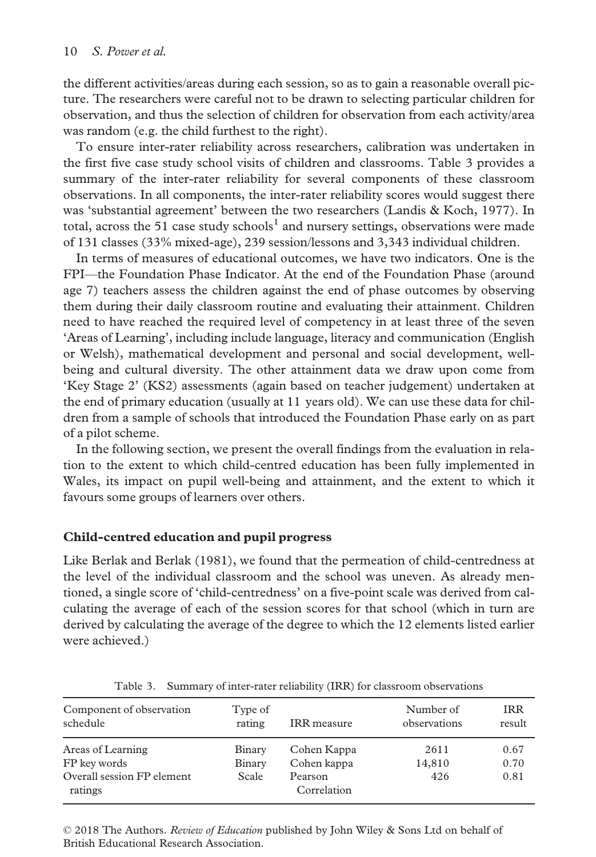the different activities/areas during each session, so as to gain a reasonable overall picture. The researchers were careful not to be drawn to selecting particular children for observation, and thus the selection of children for observation from each activity/area was random (e.g. the child furthest to the right).

To ensure inter-rater reliability across researchers, calibration was undertaken in the first five case study school visits of children and classrooms. Table 3 provides a summary of the inter-rater reliability for several components of these classroom observations. In all components, the inter-rater reliability scores would suggest there was 'substantial agreement' between the two researchers (Landis & Koch, 1977). In total, across the 51 case study schools $<sup>1</sup>$  and nursery settings, observations were made</sup> of 131 classes (33% mixed-age), 239 session/lessons and 3,343 individual children.

In terms of measures of educational outcomes, we have two indicators. One is the FPI—the Foundation Phase Indicator. At the end of the Foundation Phase (around age 7) teachers assess the children against the end of phase outcomes by observing them during their daily classroom routine and evaluating their attainment. Children need to have reached the required level of competency in at least three of the seven 'Areas of Learning', including include language, literacy and communication (English or Welsh), mathematical development and personal and social development, wellbeing and cultural diversity. The other attainment data we draw upon come from 'Key Stage 2' (KS2) assessments (again based on teacher judgement) undertaken at the end of primary education (usually at 11 years old). We can use these data for children from a sample of schools that introduced the Foundation Phase early on as part of a pilot scheme.

In the following section, we present the overall findings from the evaluation in relation to the extent to which child-centred education has been fully implemented in Wales, its impact on pupil well-being and attainment, and the extent to which it favours some groups of learners over others.

## Child-centred education and pupil progress

Like Berlak and Berlak (1981), we found that the permeation of child-centredness at the level of the individual classroom and the school was uneven. As already mentioned, a single score of 'child-centredness' on a five-point scale was derived from calculating the average of each of the session scores for that school (which in turn are derived by calculating the average of the degree to which the 12 elements listed earlier were achieved.)

| Component of observation<br>schedule  | Type of<br>rating | <b>IRR</b> measure     | Number of<br>observations | <b>IRR</b><br>result |
|---------------------------------------|-------------------|------------------------|---------------------------|----------------------|
| Areas of Learning                     | Binary            | Cohen Kappa            | 2611                      | 0.67                 |
| FP key words                          | Binary            | Cohen kappa            | 14,810                    | 0.70                 |
| Overall session FP element<br>ratings | Scale             | Pearson<br>Correlation | 426                       | 0.81                 |

Table 3. Summary of inter-rater reliability (IRR) for classroom observations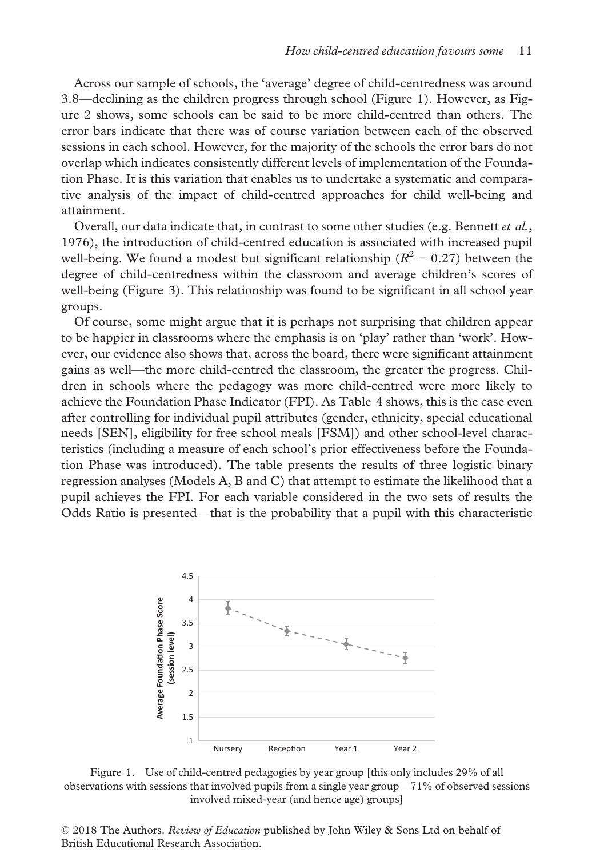Across our sample of schools, the 'average' degree of child-centredness was around 3.8—declining as the children progress through school (Figure 1). However, as Figure 2 shows, some schools can be said to be more child-centred than others. The error bars indicate that there was of course variation between each of the observed sessions in each school. However, for the majority of the schools the error bars do not overlap which indicates consistently different levels of implementation of the Foundation Phase. It is this variation that enables us to undertake a systematic and comparative analysis of the impact of child-centred approaches for child well-being and attainment.

Overall, our data indicate that, in contrast to some other studies (e.g. Bennett et al., 1976), the introduction of child-centred education is associated with increased pupil well-being. We found a modest but significant relationship  $(R^2 = 0.27)$  between the degree of child-centredness within the classroom and average children's scores of well-being (Figure 3). This relationship was found to be significant in all school year groups.

Of course, some might argue that it is perhaps not surprising that children appear to be happier in classrooms where the emphasis is on 'play' rather than 'work'. However, our evidence also shows that, across the board, there were significant attainment gains as well—the more child-centred the classroom, the greater the progress. Children in schools where the pedagogy was more child-centred were more likely to achieve the Foundation Phase Indicator (FPI). As Table 4 shows, this is the case even after controlling for individual pupil attributes (gender, ethnicity, special educational needs [SEN], eligibility for free school meals [FSM]) and other school-level characteristics (including a measure of each school's prior effectiveness before the Foundation Phase was introduced). The table presents the results of three logistic binary regression analyses (Models A, B and C) that attempt to estimate the likelihood that a pupil achieves the FPI. For each variable considered in the two sets of results the Odds Ratio is presented—that is the probability that a pupil with this characteristic



Figure 1. Use of child-centred pedagogies by year group [this only includes 29% of all observations with sessions that involved pupils from a single year group—71% of observed sessions involved mixed-year (and hence age) groups]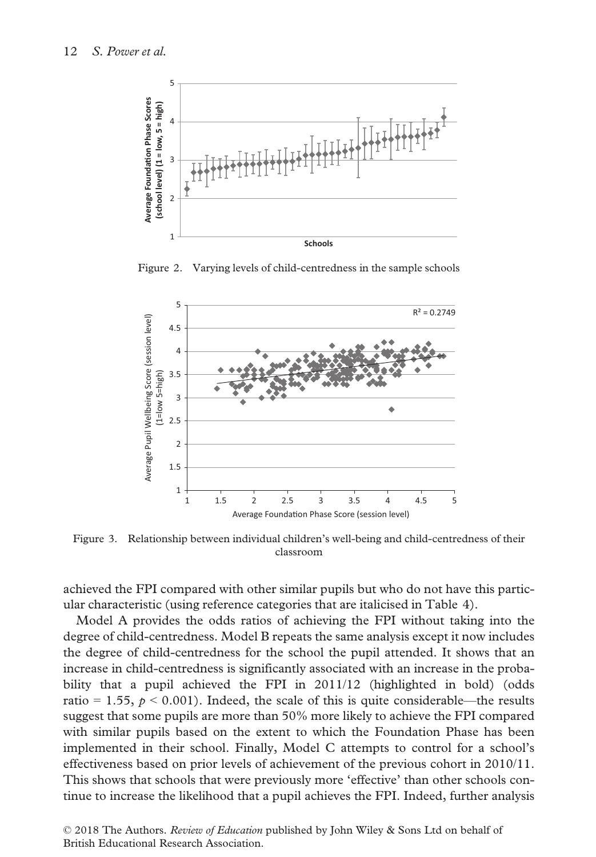

Figure 2. Varying levels of child-centredness in the sample schools



Figure 3. Relationship between individual children's well-being and child-centredness of their classroom

achieved the FPI compared with other similar pupils but who do not have this particular characteristic (using reference categories that are italicised in Table 4).

Model A provides the odds ratios of achieving the FPI without taking into the degree of child-centredness. Model B repeats the same analysis except it now includes the degree of child-centredness for the school the pupil attended. It shows that an increase in child-centredness is significantly associated with an increase in the probability that a pupil achieved the FPI in 2011/12 (highlighted in bold) (odds ratio = 1.55,  $p < 0.001$ ). Indeed, the scale of this is quite considerable—the results suggest that some pupils are more than 50% more likely to achieve the FPI compared with similar pupils based on the extent to which the Foundation Phase has been implemented in their school. Finally, Model C attempts to control for a school's effectiveness based on prior levels of achievement of the previous cohort in 2010/11. This shows that schools that were previously more 'effective' than other schools continue to increase the likelihood that a pupil achieves the FPI. Indeed, further analysis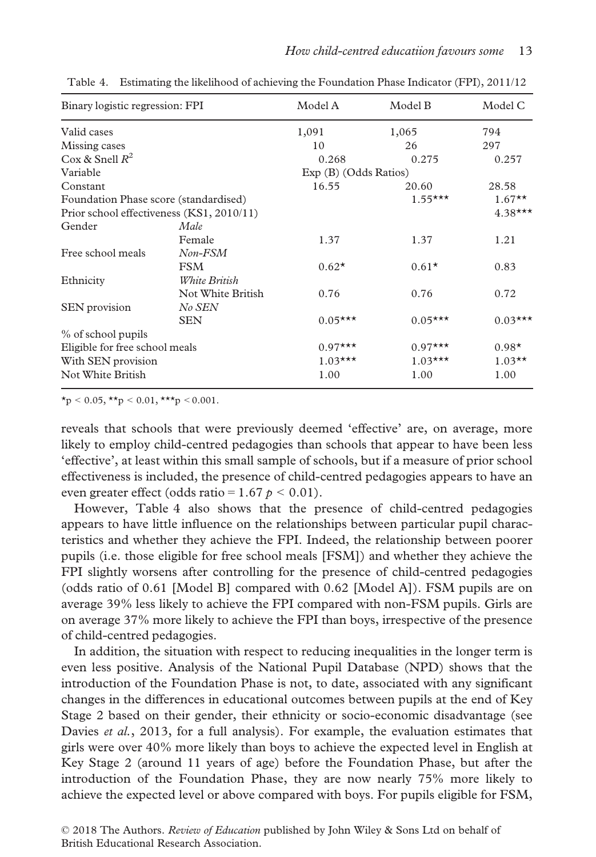| Binary logistic regression: FPI<br>Valid cases |                   | Model A                | Model B   | Model C   |
|------------------------------------------------|-------------------|------------------------|-----------|-----------|
|                                                |                   | 1,091                  | 1,065     | 794       |
| Missing cases                                  |                   | 10                     | 26        | 297       |
| Cox & Snell $R^2$                              |                   | 0.268                  | 0.275     | 0.257     |
| Variable                                       |                   | $Exp(B)$ (Odds Ratios) |           |           |
| Constant                                       |                   | 16.55                  | 20.60     | 28.58     |
| Foundation Phase score (standardised)          |                   |                        | $1.55***$ | $1.67**$  |
| Prior school effectiveness (KS1, 2010/11)      |                   |                        |           | $4.38***$ |
| Gender                                         | Male              |                        |           |           |
|                                                | Female            | 1.37                   | 1.37      | 1.21      |
| Free school meals                              | $Non-FSM$         |                        |           |           |
|                                                | <b>FSM</b>        | $0.62*$                | $0.61*$   | 0.83      |
| Ethnicity                                      | White British     |                        |           |           |
|                                                | Not White British | 0.76                   | 0.76      | 0.72      |
| SEN provision                                  | No SEN            |                        |           |           |
|                                                | <b>SEN</b>        | $0.05***$              | $0.05***$ | $0.03***$ |
| % of school pupils                             |                   |                        |           |           |
| Eligible for free school meals                 |                   | $0.97***$              | $0.97***$ | $0.98*$   |
| With SEN provision                             |                   | $1.03***$              | $1.03***$ | $1.03**$  |
| Not White British                              |                   | 1.00                   | 1.00      | 1.00      |

Table 4. Estimating the likelihood of achieving the Foundation Phase Indicator (FPI), 2011/12

 $*_p$  < 0.05,  $**_p$  < 0.01,  $***_p$  < 0.001.

reveals that schools that were previously deemed 'effective' are, on average, more likely to employ child-centred pedagogies than schools that appear to have been less 'effective', at least within this small sample of schools, but if a measure of prior school effectiveness is included, the presence of child-centred pedagogies appears to have an even greater effect (odds ratio =  $1.67 p \le 0.01$ ).

However, Table 4 also shows that the presence of child-centred pedagogies appears to have little influence on the relationships between particular pupil characteristics and whether they achieve the FPI. Indeed, the relationship between poorer pupils (i.e. those eligible for free school meals [FSM]) and whether they achieve the FPI slightly worsens after controlling for the presence of child-centred pedagogies (odds ratio of 0.61 [Model B] compared with 0.62 [Model A]). FSM pupils are on average 39% less likely to achieve the FPI compared with non-FSM pupils. Girls are on average 37% more likely to achieve the FPI than boys, irrespective of the presence of child-centred pedagogies.

In addition, the situation with respect to reducing inequalities in the longer term is even less positive. Analysis of the National Pupil Database (NPD) shows that the introduction of the Foundation Phase is not, to date, associated with any significant changes in the differences in educational outcomes between pupils at the end of Key Stage 2 based on their gender, their ethnicity or socio-economic disadvantage (see Davies et al., 2013, for a full analysis). For example, the evaluation estimates that girls were over 40% more likely than boys to achieve the expected level in English at Key Stage 2 (around 11 years of age) before the Foundation Phase, but after the introduction of the Foundation Phase, they are now nearly 75% more likely to achieve the expected level or above compared with boys. For pupils eligible for FSM,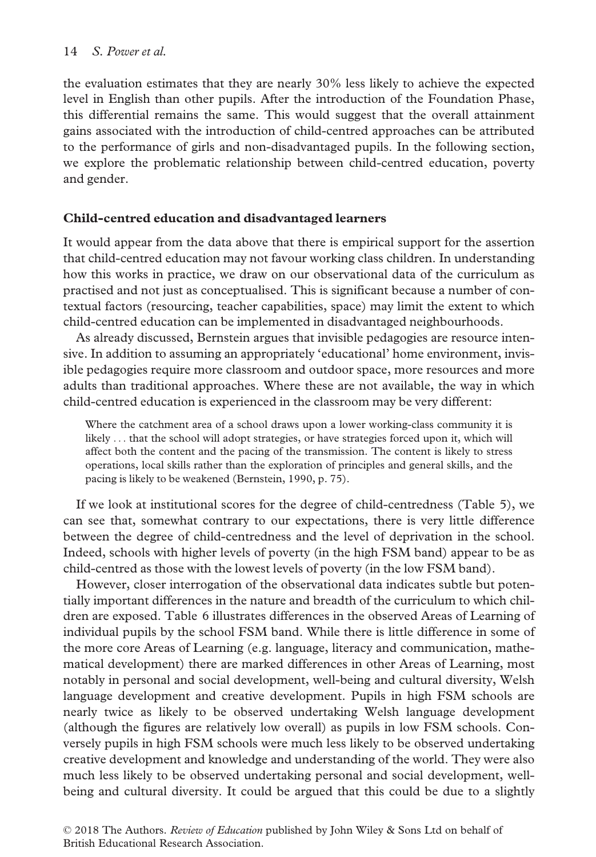the evaluation estimates that they are nearly 30% less likely to achieve the expected level in English than other pupils. After the introduction of the Foundation Phase, this differential remains the same. This would suggest that the overall attainment gains associated with the introduction of child-centred approaches can be attributed to the performance of girls and non-disadvantaged pupils. In the following section, we explore the problematic relationship between child-centred education, poverty and gender.

### Child-centred education and disadvantaged learners

It would appear from the data above that there is empirical support for the assertion that child-centred education may not favour working class children. In understanding how this works in practice, we draw on our observational data of the curriculum as practised and not just as conceptualised. This is significant because a number of contextual factors (resourcing, teacher capabilities, space) may limit the extent to which child-centred education can be implemented in disadvantaged neighbourhoods.

As already discussed, Bernstein argues that invisible pedagogies are resource intensive. In addition to assuming an appropriately 'educational' home environment, invisible pedagogies require more classroom and outdoor space, more resources and more adults than traditional approaches. Where these are not available, the way in which child-centred education is experienced in the classroom may be very different:

Where the catchment area of a school draws upon a lower working-class community it is likely ... that the school will adopt strategies, or have strategies forced upon it, which will affect both the content and the pacing of the transmission. The content is likely to stress operations, local skills rather than the exploration of principles and general skills, and the pacing is likely to be weakened (Bernstein, 1990, p. 75).

If we look at institutional scores for the degree of child-centredness (Table 5), we can see that, somewhat contrary to our expectations, there is very little difference between the degree of child-centredness and the level of deprivation in the school. Indeed, schools with higher levels of poverty (in the high FSM band) appear to be as child-centred as those with the lowest levels of poverty (in the low FSM band).

However, closer interrogation of the observational data indicates subtle but potentially important differences in the nature and breadth of the curriculum to which children are exposed. Table 6 illustrates differences in the observed Areas of Learning of individual pupils by the school FSM band. While there is little difference in some of the more core Areas of Learning (e.g. language, literacy and communication, mathematical development) there are marked differences in other Areas of Learning, most notably in personal and social development, well-being and cultural diversity, Welsh language development and creative development. Pupils in high FSM schools are nearly twice as likely to be observed undertaking Welsh language development (although the figures are relatively low overall) as pupils in low FSM schools. Conversely pupils in high FSM schools were much less likely to be observed undertaking creative development and knowledge and understanding of the world. They were also much less likely to be observed undertaking personal and social development, wellbeing and cultural diversity. It could be argued that this could be due to a slightly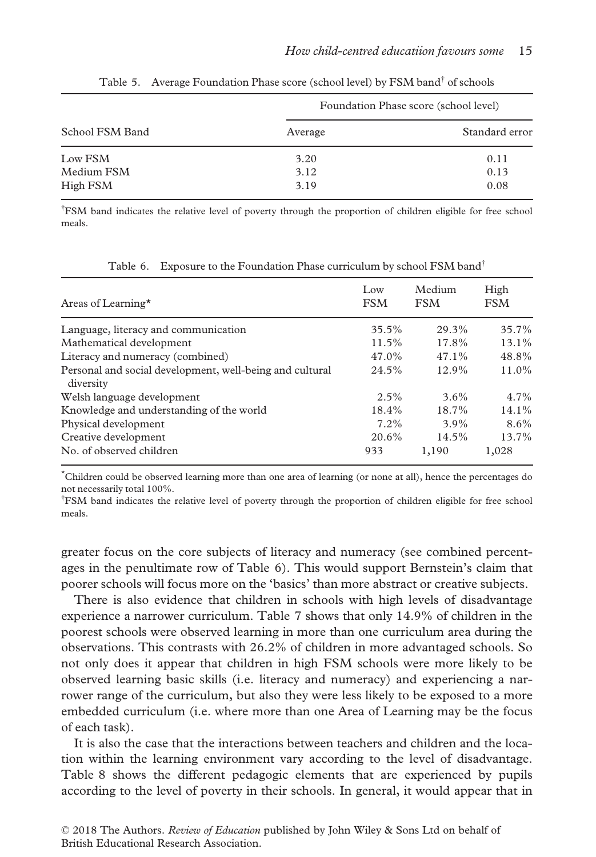|                 | Foundation Phase score (school level) |                |  |
|-----------------|---------------------------------------|----------------|--|
| School FSM Band | Average                               | Standard error |  |
| Low FSM         | 3.20                                  | 0.11           |  |
| Medium FSM      | 3.12                                  | 0.13           |  |
| High FSM        | 3.19                                  | 0.08           |  |

Table 5. Average Foundation Phase score (school level) by FSM band† of schools

† FSM band indicates the relative level of poverty through the proportion of children eligible for free school meals.

| Areas of Learning $\star$                                             | Low<br><b>FSM</b> | Medium<br><b>FSM</b> | High<br><b>FSM</b> |
|-----------------------------------------------------------------------|-------------------|----------------------|--------------------|
| Language, literacy and communication                                  | $35.5\%$          | 29.3%                | 35.7%              |
| Mathematical development                                              | $11.5\%$          | 17.8%                | 13.1%              |
| Literacy and numeracy (combined)                                      | 47.0%             | $47.1\%$             | 48.8%              |
| Personal and social development, well-being and cultural<br>diversity | 24.5%             | 12.9%                | 11.0%              |
| Welsh language development                                            | $2.5\%$           | $3.6\%$              | $4.7\%$            |
| Knowledge and understanding of the world                              | 18.4%             | 18.7%                | 14.1%              |
| Physical development                                                  | $7.2\%$           | $3.9\%$              | $8.6\%$            |
| Creative development                                                  | 20.6%             | 14.5%                | 13.7%              |
| No. of observed children                                              | 933               | 1,190                | 1,028              |

Table 6. Exposure to the Foundation Phase curriculum by school FSM band†

\* Children could be observed learning more than one area of learning (or none at all), hence the percentages do not necessarily total 100%.

† FSM band indicates the relative level of poverty through the proportion of children eligible for free school meals.

greater focus on the core subjects of literacy and numeracy (see combined percentages in the penultimate row of Table 6). This would support Bernstein's claim that poorer schools will focus more on the 'basics' than more abstract or creative subjects.

There is also evidence that children in schools with high levels of disadvantage experience a narrower curriculum. Table 7 shows that only 14.9% of children in the poorest schools were observed learning in more than one curriculum area during the observations. This contrasts with 26.2% of children in more advantaged schools. So not only does it appear that children in high FSM schools were more likely to be observed learning basic skills (i.e. literacy and numeracy) and experiencing a narrower range of the curriculum, but also they were less likely to be exposed to a more embedded curriculum (i.e. where more than one Area of Learning may be the focus of each task).

It is also the case that the interactions between teachers and children and the location within the learning environment vary according to the level of disadvantage. Table 8 shows the different pedagogic elements that are experienced by pupils according to the level of poverty in their schools. In general, it would appear that in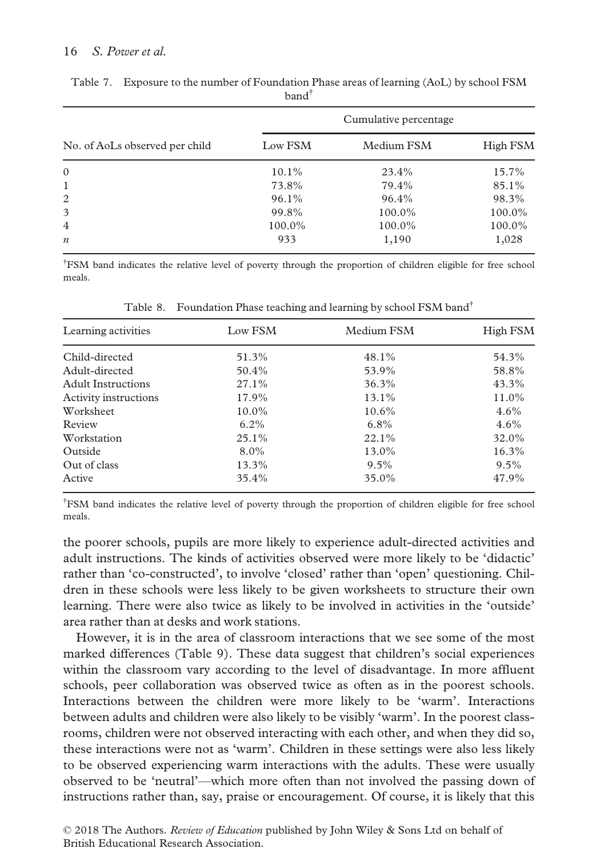#### 16 S. Power et al.

|                                | Cumulative percentage |            |          |  |
|--------------------------------|-----------------------|------------|----------|--|
| No. of AoLs observed per child | Low FSM               | Medium FSM | High FSM |  |
| $\Omega$                       | 10.1%                 | 23.4%      | 15.7%    |  |
| 1                              | 73.8%                 | 79.4%      | 85.1%    |  |
| 2                              | 96.1%                 | 96.4%      | 98.3%    |  |
| 3                              | 99.8%                 | 100.0%     | 100.0%   |  |
| $\overline{4}$                 | 100.0%                | 100.0%     | 100.0%   |  |
| $\boldsymbol{n}$               | 933                   | 1,190      | 1,028    |  |

Table 7. Exposure to the number of Foundation Phase areas of learning (AoL) by school FSM band†

† FSM band indicates the relative level of poverty through the proportion of children eligible for free school meals.

| Learning activities       | Low FSM  | Medium FSM | High FSM |
|---------------------------|----------|------------|----------|
| Child-directed            | 51.3%    | 48.1%      | 54.3%    |
| Adult-directed            | 50.4%    | 53.9%      | 58.8%    |
| <b>Adult Instructions</b> | $27.1\%$ | 36.3%      | 43.3%    |
| Activity instructions     | 17.9%    | $13.1\%$   | 11.0%    |
| Worksheet                 | $10.0\%$ | 10.6%      | $4.6\%$  |
| Review                    | $6.2\%$  | $6.8\%$    | $4.6\%$  |
| Workstation               | $25.1\%$ | $22.1\%$   | 32.0%    |
| Outside                   | $8.0\%$  | 13.0%      | 16.3%    |
| Out of class              | 13.3%    | $9.5\%$    | $9.5\%$  |
| Active                    | 35.4%    | 35.0%      | 47.9%    |

Table 8. Foundation Phase teaching and learning by school FSM band<sup>†</sup>

† FSM band indicates the relative level of poverty through the proportion of children eligible for free school meals.

the poorer schools, pupils are more likely to experience adult-directed activities and adult instructions. The kinds of activities observed were more likely to be 'didactic' rather than 'co-constructed', to involve 'closed' rather than 'open' questioning. Children in these schools were less likely to be given worksheets to structure their own learning. There were also twice as likely to be involved in activities in the 'outside' area rather than at desks and work stations.

However, it is in the area of classroom interactions that we see some of the most marked differences (Table 9). These data suggest that children's social experiences within the classroom vary according to the level of disadvantage. In more affluent schools, peer collaboration was observed twice as often as in the poorest schools. Interactions between the children were more likely to be 'warm'. Interactions between adults and children were also likely to be visibly 'warm'. In the poorest classrooms, children were not observed interacting with each other, and when they did so, these interactions were not as 'warm'. Children in these settings were also less likely to be observed experiencing warm interactions with the adults. These were usually observed to be 'neutral'—which more often than not involved the passing down of instructions rather than, say, praise or encouragement. Of course, it is likely that this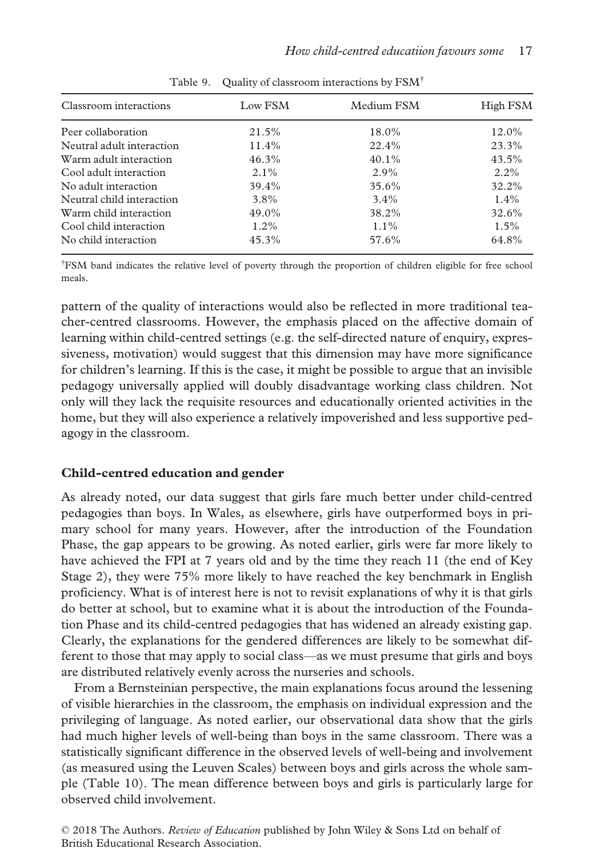| Classroom interactions    | Low FSM | Medium FSM | High FSM |
|---------------------------|---------|------------|----------|
| Peer collaboration        | 21.5%   | 18.0%      | 12.0%    |
| Neutral adult interaction | 11.4%   | 22.4%      | 23.3%    |
| Warm adult interaction    | 46.3%   | 40.1%      | 43.5%    |
| Cool adult interaction    | $2.1\%$ | $2.9\%$    | $2.2\%$  |
| No adult interaction      | 39.4%   | 35.6%      | 32.2%    |
| Neutral child interaction | $3.8\%$ | $3.4\%$    | $1.4\%$  |
| Warm child interaction    | 49.0%   | 38.2%      | 32.6%    |
| Cool child interaction    | $1.2\%$ | $1.1\%$    | $1.5\%$  |
| No child interaction      | 45.3%   | 57.6%      | 64.8%    |

Table 9. Quality of classroom interactions by FSM<sup>†</sup>

† FSM band indicates the relative level of poverty through the proportion of children eligible for free school meals.

pattern of the quality of interactions would also be reflected in more traditional teacher-centred classrooms. However, the emphasis placed on the affective domain of learning within child-centred settings (e.g. the self-directed nature of enquiry, expressiveness, motivation) would suggest that this dimension may have more significance for children's learning. If this is the case, it might be possible to argue that an invisible pedagogy universally applied will doubly disadvantage working class children. Not only will they lack the requisite resources and educationally oriented activities in the home, but they will also experience a relatively impoverished and less supportive pedagogy in the classroom.

#### Child-centred education and gender

As already noted, our data suggest that girls fare much better under child-centred pedagogies than boys. In Wales, as elsewhere, girls have outperformed boys in primary school for many years. However, after the introduction of the Foundation Phase, the gap appears to be growing. As noted earlier, girls were far more likely to have achieved the FPI at 7 years old and by the time they reach 11 (the end of Key Stage 2), they were 75% more likely to have reached the key benchmark in English proficiency. What is of interest here is not to revisit explanations of why it is that girls do better at school, but to examine what it is about the introduction of the Foundation Phase and its child-centred pedagogies that has widened an already existing gap. Clearly, the explanations for the gendered differences are likely to be somewhat different to those that may apply to social class—as we must presume that girls and boys are distributed relatively evenly across the nurseries and schools.

From a Bernsteinian perspective, the main explanations focus around the lessening of visible hierarchies in the classroom, the emphasis on individual expression and the privileging of language. As noted earlier, our observational data show that the girls had much higher levels of well-being than boys in the same classroom. There was a statistically significant difference in the observed levels of well-being and involvement (as measured using the Leuven Scales) between boys and girls across the whole sample (Table 10). The mean difference between boys and girls is particularly large for observed child involvement.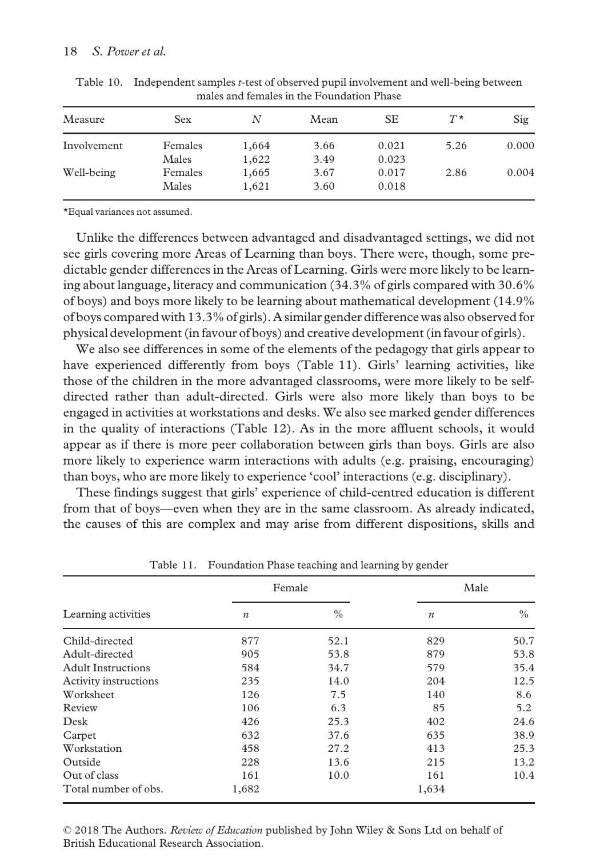| Measure     | <b>Sex</b>       | N              | Mean         | <b>SE</b>      | $T^{\star}$ | Sig   |
|-------------|------------------|----------------|--------------|----------------|-------------|-------|
| Involvement | Females<br>Males | 1,664<br>1,622 | 3.66<br>3.49 | 0.021<br>0.023 | 5.26        | 0.000 |
| Well-being  | Females<br>Males | 1,665<br>1,621 | 3.67<br>3.60 | 0.017<br>0.018 | 2.86        | 0.004 |

Table 10. Independent samples t-test of observed pupil involvement and well-being between males and females in the Foundation Phase

\*Equal variances not assumed.

Unlike the differences between advantaged and disadvantaged settings, we did not see girls covering more Areas of Learning than boys. There were, though, some predictable gender differences in the Areas of Learning. Girls were more likely to be learning about language, literacy and communication (34.3% of girls compared with 30.6% of boys) and boys more likely to be learning about mathematical development (14.9% of boys compared with 13.3% of girls). A similar gender difference was also observed for physical development (in favour of boys) and creative development (in favour of girls).

We also see differences in some of the elements of the pedagogy that girls appear to have experienced differently from boys (Table 11). Girls' learning activities, like those of the children in the more advantaged classrooms, were more likely to be selfdirected rather than adult-directed. Girls were also more likely than boys to be engaged in activities at workstations and desks. We also see marked gender differences in the quality of interactions (Table 12). As in the more affluent schools, it would appear as if there is more peer collaboration between girls than boys. Girls are also more likely to experience warm interactions with adults (e.g. praising, encouraging) than boys, who are more likely to experience 'cool' interactions (e.g. disciplinary).

These findings suggest that girls' experience of child-centred education is different from that of boys—even when they are in the same classroom. As already indicated, the causes of this are complex and may arise from different dispositions, skills and

| Learning activities       | Female           |               | Male             |      |
|---------------------------|------------------|---------------|------------------|------|
|                           | $\boldsymbol{n}$ | $\frac{0}{0}$ | $\boldsymbol{n}$ | $\%$ |
| Child-directed            | 877              | 52.1          | 829              | 50.7 |
| Adult-directed            | 905              | 53.8          | 879              | 53.8 |
| <b>Adult Instructions</b> | 584              | 34.7          | 579              | 35.4 |
| Activity instructions     | 235              | 14.0          | 204              | 12.5 |
| Worksheet                 | 126              | 7.5           | 140              | 8.6  |
| Review                    | 106              | 6.3           | 85               | 5.2  |
| Desk                      | 426              | 25.3          | 402              | 24.6 |
| Carpet                    | 632              | 37.6          | 635              | 38.9 |
| Workstation               | 458              | 27.2          | 413              | 25.3 |
| Outside                   | 228              | 13.6          | 215              | 13.2 |
| Out of class              | 161              | 10.0          | 161              | 10.4 |
| Total number of obs.      | 1,682            |               | 1,634            |      |

Table 11. Foundation Phase teaching and learning by gender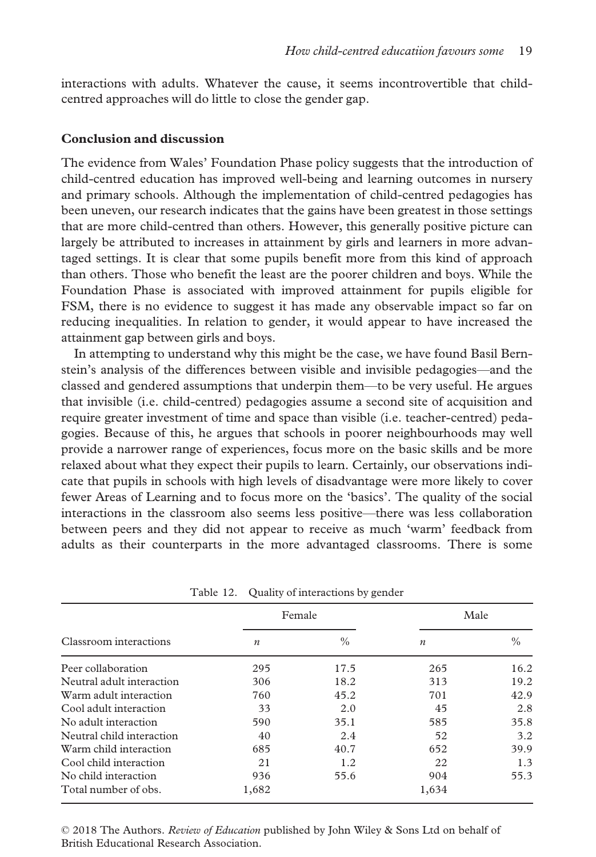interactions with adults. Whatever the cause, it seems incontrovertible that childcentred approaches will do little to close the gender gap.

#### Conclusion and discussion

The evidence from Wales' Foundation Phase policy suggests that the introduction of child-centred education has improved well-being and learning outcomes in nursery and primary schools. Although the implementation of child-centred pedagogies has been uneven, our research indicates that the gains have been greatest in those settings that are more child-centred than others. However, this generally positive picture can largely be attributed to increases in attainment by girls and learners in more advantaged settings. It is clear that some pupils benefit more from this kind of approach than others. Those who benefit the least are the poorer children and boys. While the Foundation Phase is associated with improved attainment for pupils eligible for FSM, there is no evidence to suggest it has made any observable impact so far on reducing inequalities. In relation to gender, it would appear to have increased the attainment gap between girls and boys.

In attempting to understand why this might be the case, we have found Basil Bernstein's analysis of the differences between visible and invisible pedagogies—and the classed and gendered assumptions that underpin them—to be very useful. He argues that invisible (i.e. child-centred) pedagogies assume a second site of acquisition and require greater investment of time and space than visible (i.e. teacher-centred) pedagogies. Because of this, he argues that schools in poorer neighbourhoods may well provide a narrower range of experiences, focus more on the basic skills and be more relaxed about what they expect their pupils to learn. Certainly, our observations indicate that pupils in schools with high levels of disadvantage were more likely to cover fewer Areas of Learning and to focus more on the 'basics'. The quality of the social interactions in the classroom also seems less positive—there was less collaboration between peers and they did not appear to receive as much 'warm' feedback from adults as their counterparts in the more advantaged classrooms. There is some

|                           |                  | Female        |                  | Male          |  |
|---------------------------|------------------|---------------|------------------|---------------|--|
| Classroom interactions    | $\boldsymbol{n}$ | $\frac{0}{0}$ | $\boldsymbol{n}$ | $\frac{0}{0}$ |  |
| Peer collaboration        | 295              | 17.5          | 265              | 16.2          |  |
| Neutral adult interaction | 306              | 18.2          | 313              | 19.2          |  |
| Warm adult interaction    | 760              | 45.2          | 701              | 42.9          |  |
| Cool adult interaction    | 33               | 2.0           | 45               | 2.8           |  |
| No adult interaction      | 590              | 35.1          | 585              | 35.8          |  |
| Neutral child interaction | 40               | 2.4           | 52               | 3.2           |  |
| Warm child interaction    | 685              | 40.7          | 652              | 39.9          |  |
| Cool child interaction    | 21               | 1.2           | 22               | 1.3           |  |
| No child interaction      | 936              | 55.6          | 904              | 55.3          |  |
| Total number of obs.      | 1,682            |               | 1,634            |               |  |

Table 12. Quality of interactions by gender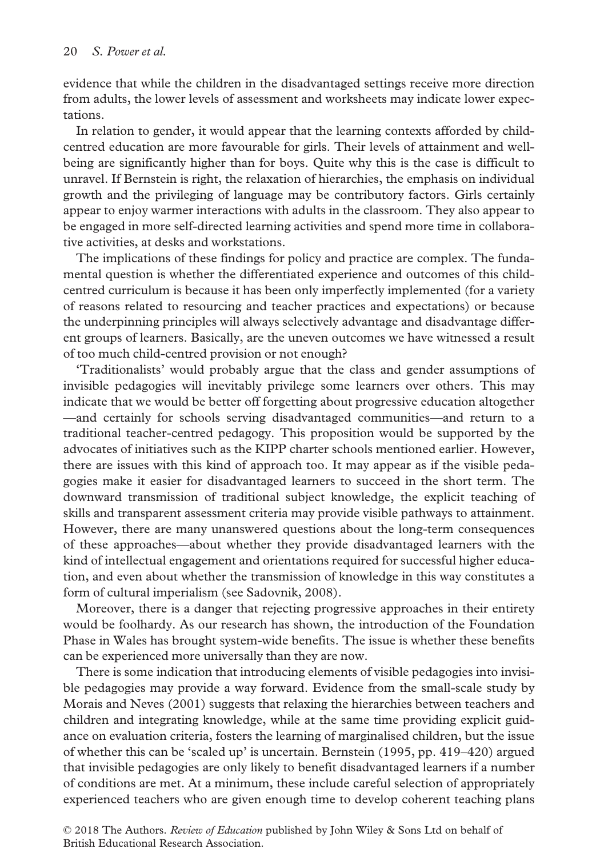evidence that while the children in the disadvantaged settings receive more direction from adults, the lower levels of assessment and worksheets may indicate lower expectations.

In relation to gender, it would appear that the learning contexts afforded by childcentred education are more favourable for girls. Their levels of attainment and wellbeing are significantly higher than for boys. Quite why this is the case is difficult to unravel. If Bernstein is right, the relaxation of hierarchies, the emphasis on individual growth and the privileging of language may be contributory factors. Girls certainly appear to enjoy warmer interactions with adults in the classroom. They also appear to be engaged in more self-directed learning activities and spend more time in collaborative activities, at desks and workstations.

The implications of these findings for policy and practice are complex. The fundamental question is whether the differentiated experience and outcomes of this childcentred curriculum is because it has been only imperfectly implemented (for a variety of reasons related to resourcing and teacher practices and expectations) or because the underpinning principles will always selectively advantage and disadvantage different groups of learners. Basically, are the uneven outcomes we have witnessed a result of too much child-centred provision or not enough?

'Traditionalists' would probably argue that the class and gender assumptions of invisible pedagogies will inevitably privilege some learners over others. This may indicate that we would be better off forgetting about progressive education altogether —and certainly for schools serving disadvantaged communities—and return to a traditional teacher-centred pedagogy. This proposition would be supported by the advocates of initiatives such as the KIPP charter schools mentioned earlier. However, there are issues with this kind of approach too. It may appear as if the visible pedagogies make it easier for disadvantaged learners to succeed in the short term. The downward transmission of traditional subject knowledge, the explicit teaching of skills and transparent assessment criteria may provide visible pathways to attainment. However, there are many unanswered questions about the long-term consequences of these approaches—about whether they provide disadvantaged learners with the kind of intellectual engagement and orientations required for successful higher education, and even about whether the transmission of knowledge in this way constitutes a form of cultural imperialism (see Sadovnik, 2008).

Moreover, there is a danger that rejecting progressive approaches in their entirety would be foolhardy. As our research has shown, the introduction of the Foundation Phase in Wales has brought system-wide benefits. The issue is whether these benefits can be experienced more universally than they are now.

There is some indication that introducing elements of visible pedagogies into invisible pedagogies may provide a way forward. Evidence from the small-scale study by Morais and Neves (2001) suggests that relaxing the hierarchies between teachers and children and integrating knowledge, while at the same time providing explicit guidance on evaluation criteria, fosters the learning of marginalised children, but the issue of whether this can be 'scaled up' is uncertain. Bernstein (1995, pp. 419–420) argued that invisible pedagogies are only likely to benefit disadvantaged learners if a number of conditions are met. At a minimum, these include careful selection of appropriately experienced teachers who are given enough time to develop coherent teaching plans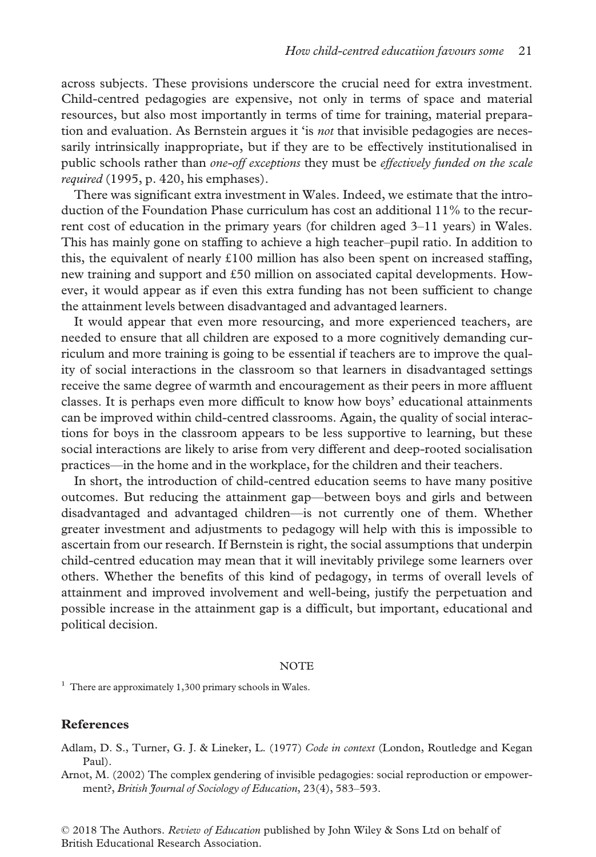across subjects. These provisions underscore the crucial need for extra investment. Child-centred pedagogies are expensive, not only in terms of space and material resources, but also most importantly in terms of time for training, material preparation and evaluation. As Bernstein argues it 'is *not* that invisible pedagogies are necessarily intrinsically inappropriate, but if they are to be effectively institutionalised in public schools rather than one-off exceptions they must be effectively funded on the scale required (1995, p. 420, his emphases).

There was significant extra investment in Wales. Indeed, we estimate that the introduction of the Foundation Phase curriculum has cost an additional 11% to the recurrent cost of education in the primary years (for children aged 3–11 years) in Wales. This has mainly gone on staffing to achieve a high teacher–pupil ratio. In addition to this, the equivalent of nearly  $\text{\pounds}100$  million has also been spent on increased staffing, new training and support and £50 million on associated capital developments. However, it would appear as if even this extra funding has not been sufficient to change the attainment levels between disadvantaged and advantaged learners.

It would appear that even more resourcing, and more experienced teachers, are needed to ensure that all children are exposed to a more cognitively demanding curriculum and more training is going to be essential if teachers are to improve the quality of social interactions in the classroom so that learners in disadvantaged settings receive the same degree of warmth and encouragement as their peers in more affluent classes. It is perhaps even more difficult to know how boys' educational attainments can be improved within child-centred classrooms. Again, the quality of social interactions for boys in the classroom appears to be less supportive to learning, but these social interactions are likely to arise from very different and deep-rooted socialisation practices—in the home and in the workplace, for the children and their teachers.

In short, the introduction of child-centred education seems to have many positive outcomes. But reducing the attainment gap—between boys and girls and between disadvantaged and advantaged children—is not currently one of them. Whether greater investment and adjustments to pedagogy will help with this is impossible to ascertain from our research. If Bernstein is right, the social assumptions that underpin child-centred education may mean that it will inevitably privilege some learners over others. Whether the benefits of this kind of pedagogy, in terms of overall levels of attainment and improved involvement and well-being, justify the perpetuation and possible increase in the attainment gap is a difficult, but important, educational and political decision.

#### NOTE

 $1$  There are approximately 1,300 primary schools in Wales.

#### References

- Adlam, D. S., Turner, G. J. & Lineker, L. (1977) Code in context (London, Routledge and Kegan Paul).
- Arnot, M. (2002) The complex gendering of invisible pedagogies: social reproduction or empowerment?, British Journal of Sociology of Education, 23(4), 583-593.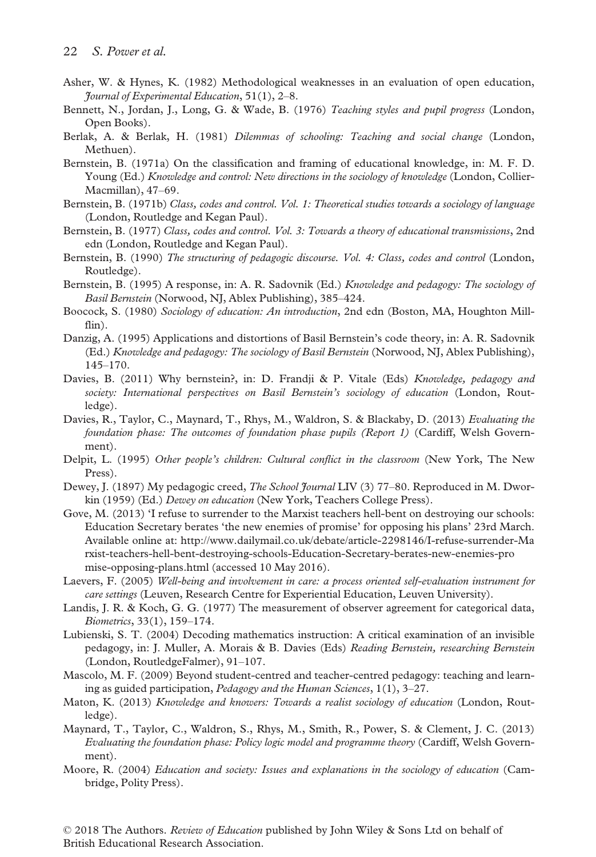- Asher, W. & Hynes, K. (1982) Methodological weaknesses in an evaluation of open education, Journal of Experimental Education, 51(1), 2–8.
- Bennett, N., Jordan, J., Long, G. & Wade, B. (1976) Teaching styles and pupil progress (London, Open Books).
- Berlak, A. & Berlak, H. (1981) Dilemmas of schooling: Teaching and social change (London, Methuen).
- Bernstein, B. (1971a) On the classification and framing of educational knowledge, in: M. F. D. Young (Ed.) Knowledge and control: New directions in the sociology of knowledge (London, Collier-Macmillan), 47–69.
- Bernstein, B. (1971b) Class, codes and control. Vol. 1: Theoretical studies towards a sociology of language (London, Routledge and Kegan Paul).
- Bernstein, B. (1977) Class, codes and control. Vol. 3: Towards a theory of educational transmissions, 2nd edn (London, Routledge and Kegan Paul).
- Bernstein, B. (1990) The structuring of pedagogic discourse. Vol. 4: Class, codes and control (London, Routledge).
- Bernstein, B. (1995) A response, in: A. R. Sadovnik (Ed.) Knowledge and pedagogy: The sociology of Basil Bernstein (Norwood, NJ, Ablex Publishing), 385–424.
- Boocock, S. (1980) Sociology of education: An introduction, 2nd edn (Boston, MA, Houghton Millflin).
- Danzig, A. (1995) Applications and distortions of Basil Bernstein's code theory, in: A. R. Sadovnik (Ed.) Knowledge and pedagogy: The sociology of Basil Bernstein (Norwood, NJ, Ablex Publishing), 145–170.
- Davies, B. (2011) Why bernstein?, in: D. Frandji & P. Vitale (Eds) Knowledge, pedagogy and society: International perspectives on Basil Bernstein's sociology of education (London, Routledge).
- Davies, R., Taylor, C., Maynard, T., Rhys, M., Waldron, S. & Blackaby, D. (2013) Evaluating the foundation phase: The outcomes of foundation phase pupils (Report 1) (Cardiff, Welsh Government).
- Delpit, L. (1995) Other people's children: Cultural conflict in the classroom (New York, The New Press).
- Dewey, J. (1897) My pedagogic creed, *The School Journal* LIV (3) 77–80. Reproduced in M. Dworkin (1959) (Ed.) Dewey on education (New York, Teachers College Press).
- Gove, M. (2013) 'I refuse to surrender to the Marxist teachers hell-bent on destroying our schools: Education Secretary berates 'the new enemies of promise' for opposing his plans' 23rd March. Available online at: [http://www.dailymail.co.uk/debate/article-2298146/I-refuse-surrender-Ma](http://www.dailymail.co.uk/debate/article-2298146/I-refuse-surrender-Marxist-teachers-hell-bent-destroying-schools-Education-Secretary-berates-new-enemies-promise-opposing-plans.html) [rxist-teachers-hell-bent-destroying-schools-Education-Secretary-berates-new-enemies-pro](http://www.dailymail.co.uk/debate/article-2298146/I-refuse-surrender-Marxist-teachers-hell-bent-destroying-schools-Education-Secretary-berates-new-enemies-promise-opposing-plans.html) [mise-opposing-plans.html](http://www.dailymail.co.uk/debate/article-2298146/I-refuse-surrender-Marxist-teachers-hell-bent-destroying-schools-Education-Secretary-berates-new-enemies-promise-opposing-plans.html) (accessed 10 May 2016).
- Laevers, F. (2005) Well-being and involvement in care: a process oriented self-evaluation instrument for care settings (Leuven, Research Centre for Experiential Education, Leuven University).
- Landis, J. R. & Koch, G. G. (1977) The measurement of observer agreement for categorical data, Biometrics, 33(1), 159–174.
- Lubienski, S. T. (2004) Decoding mathematics instruction: A critical examination of an invisible pedagogy, in: J. Muller, A. Morais & B. Davies (Eds) Reading Bernstein, researching Bernstein (London, RoutledgeFalmer), 91–107.
- Mascolo, M. F. (2009) Beyond student-centred and teacher-centred pedagogy: teaching and learning as guided participation, Pedagogy and the Human Sciences, 1(1), 3–27.
- Maton, K. (2013) Knowledge and knowers: Towards a realist sociology of education (London, Routledge).
- Maynard, T., Taylor, C., Waldron, S., Rhys, M., Smith, R., Power, S. & Clement, J. C. (2013) Evaluating the foundation phase: Policy logic model and programme theory (Cardiff, Welsh Government).
- Moore, R. (2004) Education and society: Issues and explanations in the sociology of education (Cambridge, Polity Press).